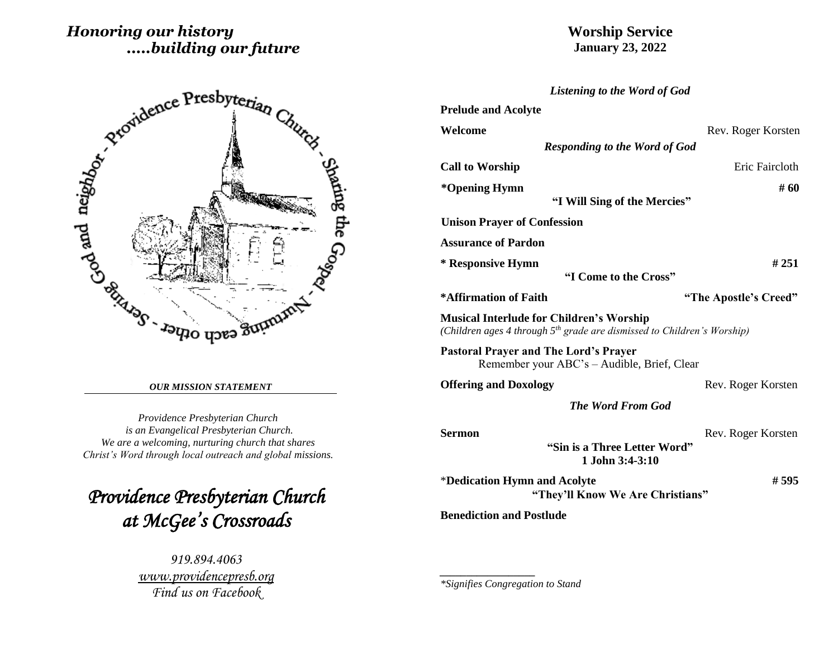# *Honoring our history .....building our future*

# **Worship Service January 23, 2022**



#### *OUR MISSION STATEMENT*

*Providence Presbyterian Church is an Evangelical Presbyterian Church. We are a welcoming, nurturing church that shares Christ's Word through local outreach and global missions.*

*Providence Presbyterian Church at McGee's Crossroads* 

> *919.894.4063 [www.providencepresb.org](http://www.providencepresb.org/) Find us on Facebook*

| Listening to the Word of God                                                                                                 |                       |  |  |  |
|------------------------------------------------------------------------------------------------------------------------------|-----------------------|--|--|--|
| <b>Prelude and Acolyte</b>                                                                                                   |                       |  |  |  |
| Welcome                                                                                                                      | Rev. Roger Korsten    |  |  |  |
| <b>Responding to the Word of God</b>                                                                                         |                       |  |  |  |
| <b>Call to Worship</b>                                                                                                       | Eric Faircloth        |  |  |  |
| *Opening Hymn                                                                                                                | # 60                  |  |  |  |
| "I Will Sing of the Mercies"                                                                                                 |                       |  |  |  |
| <b>Unison Prayer of Confession</b>                                                                                           |                       |  |  |  |
| <b>Assurance of Pardon</b>                                                                                                   |                       |  |  |  |
| * Responsive Hymn                                                                                                            | # 251                 |  |  |  |
| "I Come to the Cross"                                                                                                        |                       |  |  |  |
| *Affirmation of Faith                                                                                                        | "The Apostle's Creed" |  |  |  |
| <b>Musical Interlude for Children's Worship</b><br>(Children ages 4 through $5th$ grade are dismissed to Children's Worship) |                       |  |  |  |
| <b>Pastoral Prayer and The Lord's Prayer</b><br>Remember your ABC's - Audible, Brief, Clear                                  |                       |  |  |  |
| <b>Offering and Doxology</b>                                                                                                 | Rev. Roger Korsten    |  |  |  |
| <b>The Word From God</b>                                                                                                     |                       |  |  |  |
| <b>Sermon</b>                                                                                                                | Rev. Roger Korsten    |  |  |  |
| "Sin is a Three Letter Word"<br>1 John 3:4-3:10                                                                              |                       |  |  |  |
| *Dedication Hymn and Acolyte<br>"They'll Know We Are Christians"                                                             | # 595                 |  |  |  |
| <b>Benediction and Postlude</b>                                                                                              |                       |  |  |  |

*\*Signifies Congregation to Stand*

*\_\_\_\_\_\_\_\_\_\_\_\_\_\_\_\_\_\_*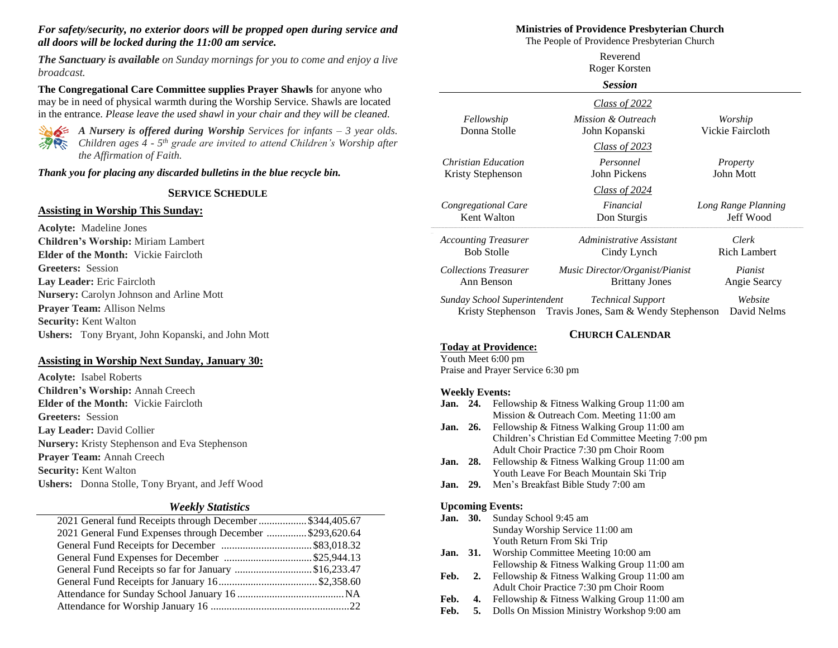#### *For safety/security, no exterior doors will be propped open during service and all doors will be locked during the 11:00 am service.*

*The Sanctuary is available on Sunday mornings for you to come and enjoy a live broadcast.*

**The Congregational Care Committee supplies Prayer Shawls** for anyone who may be in need of physical warmth during the Worship Service. Shawls are located in the entrance. *Please leave the used shawl in your chair and they will be cleaned.*



*A Nursery is offered during Worship Services for infants – 3 year olds. Children ages 4 - 5 th grade are invited to attend Children's Worship after the Affirmation of Faith.*

*Thank you for placing any discarded bulletins in the blue recycle bin.*

#### **SERVICE SCHEDULE**

#### **Assisting in Worship This Sunday:**

**Acolyte:** Madeline Jones **Children's Worship:** Miriam Lambert **Elder of the Month:** Vickie Faircloth **Greeters:** Session **Lay Leader:** Eric Faircloth **Nursery:** Carolyn Johnson and Arline Mott **Prayer Team:** Allison Nelms **Security:** Kent Walton **Ushers:** Tony Bryant, John Kopanski, and John Mott

#### **Assisting in Worship Next Sunday, January 30:**

**Acolyte:** Isabel Roberts **Children's Worship:** Annah Creech **Elder of the Month:** Vickie Faircloth **Greeters:** Session **Lay Leader:** David Collier **Nursery:** Kristy Stephenson and Eva Stephenson **Prayer Team:** Annah Creech **Security:** Kent Walton **Ushers:** Donna Stolle, Tony Bryant, and Jeff Wood

#### *Weekly Statistics*

| 2021 General fund Receipts through December  \$344,405.67 |  |
|-----------------------------------------------------------|--|
| 2021 General Fund Expenses through December \$293,620.64  |  |
|                                                           |  |
|                                                           |  |
| General Fund Receipts so far for January \$16,233.47      |  |
|                                                           |  |
|                                                           |  |
|                                                           |  |
|                                                           |  |

#### **Ministries of Providence Presbyterian Church**

The People of Providence Presbyterian Church Reverend

| Roger Korsten<br><b>Session</b> |                                                        |                     |
|---------------------------------|--------------------------------------------------------|---------------------|
|                                 |                                                        |                     |
| Fellowship                      | Mission & Outreach                                     | Worship             |
| Donna Stolle                    | John Kopanski                                          | Vickie Faircloth    |
|                                 | Class of 2023                                          |                     |
| Christian Education             | Personnel                                              | Property            |
| Kristy Stephenson               | John Pickens                                           | John Mott           |
|                                 | Class of $2024$                                        |                     |
| Congregational Care             | Financial                                              | Long Range Planning |
| Kent Walton                     | Don Sturgis                                            | Jeff Wood           |
| <b>Accounting Treasurer</b>     | Administrative Assistant                               | Clerk               |
| <b>Bob Stolle</b>               | Cindy Lynch                                            | <b>Rich Lambert</b> |
| <b>Collections Treasurer</b>    | Music Director/Organist/Pianist                        | Pianist             |
| Ann Benson                      | <b>Brittany Jones</b>                                  | Angie Searcy        |
| Sunday School Superintendent    | <b>Technical Support</b>                               | Website             |
|                                 | Kristy Stephenson Travis Jones, Sam & Wendy Stephenson | David Nelms         |

#### **CHURCH CALENDAR**

**Today at Providence:** Youth Meet 6:00 pm Praise and Prayer Service 6:30 pm

#### **Weekly Events:**

#### **Jan. 24.** Fellowship & Fitness Walking Group 11:00 am Mission & Outreach Com. Meeting 11:00 am

- **Jan. 26.** Fellowship & Fitness Walking Group 11:00 am Children's Christian Ed Committee Meeting 7:00 pm Adult Choir Practice 7:30 pm Choir Room
- **Jan. 28.** Fellowship & Fitness Walking Group 11:00 am Youth Leave For Beach Mountain Ski Trip
- **Jan. 29.** Men's Breakfast Bible Study 7:00 am

#### **Upcoming Events:**

- **Jan. 30.** Sunday School 9:45 am Sunday Worship Service 11:00 am Youth Return From Ski Trip
- Jan. 31. Worship Committee Meeting 10:00 am Fellowship & Fitness Walking Group 11:00 am
- Feb. 2. Fellowship & Fitness Walking Group 11:00 am Adult Choir Practice 7:30 pm Choir Room
- Feb. 4. Fellowship & Fitness Walking Group 11:00 am
- **Feb. 5.** Dolls On Mission Ministry Workshop 9:00 am